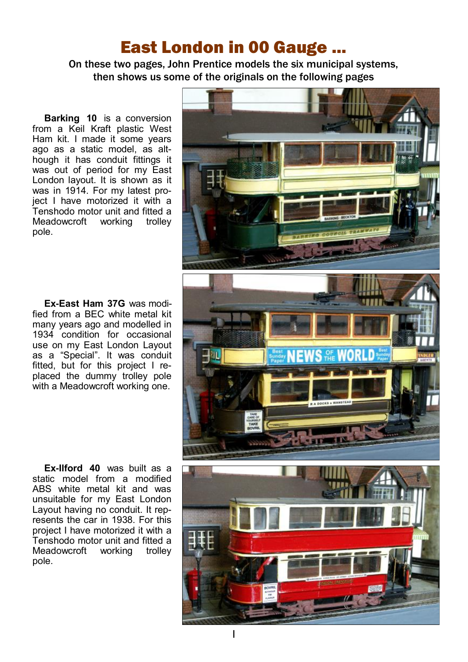## East London in 00 Gauge ...

On these two pages, John Prentice models the six municipal systems, then shows us some of the originals on the following pages

**Barking 10** is a conversion from a Keil Kraft plastic West Ham kit. I made it some years ago as a static model, as although it has conduit fittings it was out of period for my East London layout. It is shown as it was in 1914. For my latest project I have motorized it with a Tenshodo motor unit and fitted a Meadowcroft working trolley pole.

**Ex-East Ham 37G** was modified from a BEC white metal kit many years ago and modelled in 1934 condition for occasional use on my East London Layout as a "Special". It was conduit fitted, but for this project I replaced the dummy trolley pole with a Meadowcroft working one.

**Ex-Ilford 40** was built as a static model from a modified ABS white metal kit and was unsuitable for my East London Layout having no conduit. It represents the car in 1938. For this project I have motorized it with a Tenshodo motor unit and fitted a Meadowcroft working trolley pole.

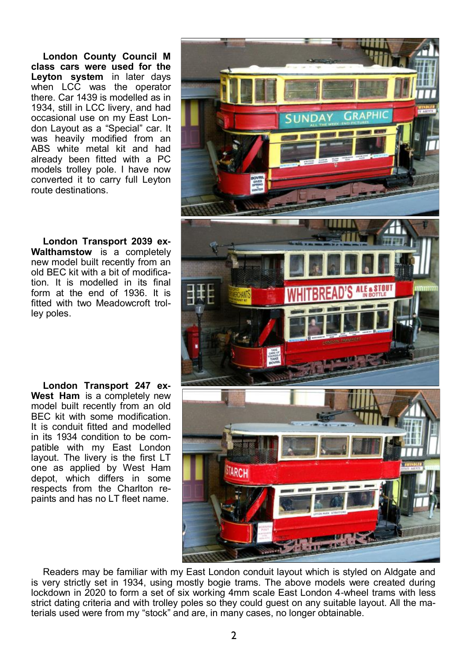**London County Council M class cars were used for the Leyton system** in later days when LCC was the operator there. Car 1439 is modelled as in 1934, still in LCC livery, and had occasional use on my East London Layout as a "Special" car. It was heavily modified from an ABS white metal kit and had already been fitted with a PC models trolley pole. I have now converted it to carry full Leyton route destinations.

**London Transport 2039 ex-Walthamstow** is a completely new model built recently from an old BEC kit with a bit of modification. It is modelled in its final form at the end of 1936. It is fitted with two Meadowcroft trolley poles.

**London Transport 247 ex-West Ham** is a completely new model built recently from an old BEC kit with some modification. It is conduit fitted and modelled in its 1934 condition to be compatible with my East London layout. The livery is the first LT one as applied by West Ham depot, which differs in some respects from the Charlton repaints and has no LT fleet name.



Readers may be familiar with my East London conduit layout which is styled on Aldgate and is very strictly set in 1934, using mostly bogie trams. The above models were created during lockdown in 2020 to form a set of six working 4mm scale East London 4-wheel trams with less strict dating criteria and with trolley poles so they could guest on any suitable layout. All the materials used were from my "stock" and are, in many cases, no longer obtainable.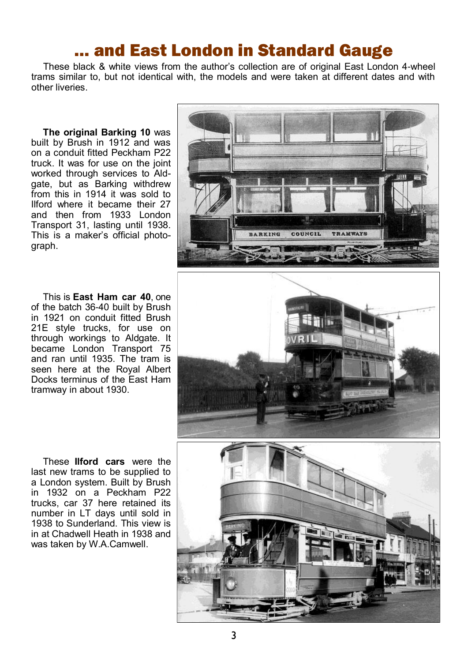## … and East London in Standard Gauge

These black & white views from the author's collection are of original East London 4-wheel trams similar to, but not identical with, the models and were taken at different dates and with other liveries.

**The original Barking 10** was built by Brush in 1912 and was on a conduit fitted Peckham P22 truck. It was for use on the joint worked through services to Aldgate, but as Barking withdrew from this in 1914 it was sold to Ilford where it became their 27 and then from 1933 London Transport 31, lasting until 1938. This is a maker's official photograph.

This is **East Ham car 40**, one of the batch 36-40 built by Brush in 1921 on conduit fitted Brush 21E style trucks, for use on through workings to Aldgate. It became London Transport 75 and ran until 1935. The tram is seen here at the Royal Albert Docks terminus of the East Ham tramway in about 1930.





These **Ilford cars** were the last new trams to be supplied to a London system. Built by Brush in 1932 on a Peckham P22 trucks, car 37 here retained its number in LT days until sold in 1938 to Sunderland. This view is in at Chadwell Heath in 1938 and was taken by W.A.Camwell.